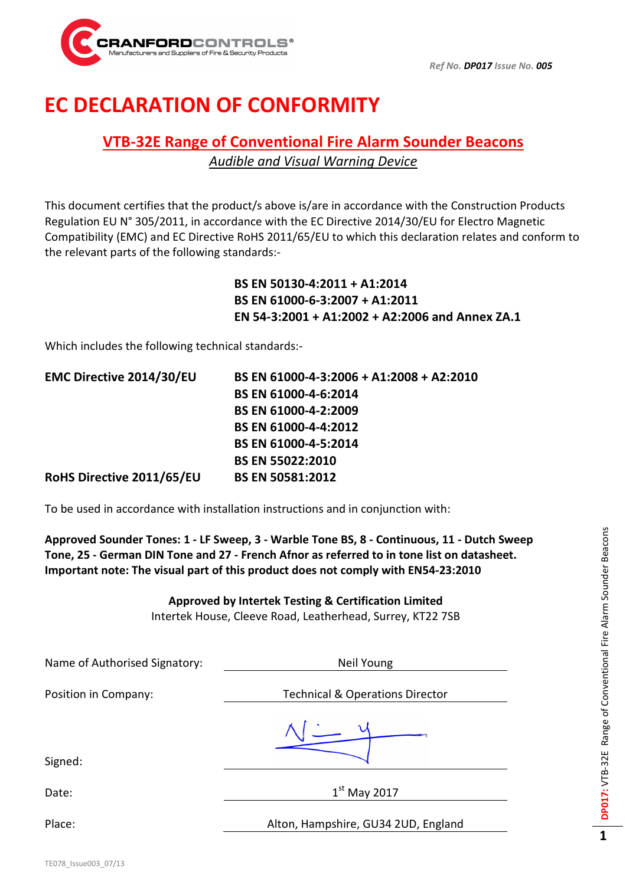

## EC DECLARATION OF CONFORMITY

## VTB-32E Range of Conventional Fire Alarm Sounder Beacons Audible and Visual Warning Device

This document certifies that the product/s above is/are in accordance with the Construction Products Regulation EU N° 305/2011, in accordance with the EC Directive 2014/30/EU for Electro Magnetic Compatibility (EMC) and EC Directive RoHS 2011/65/EU to which this declaration relates and conform to the relevant parts of the following standards:-

> BS EN 50130-4:2011 + A1:2014 BS EN 61000-6-3:2007 + A1:2011 EN 54-3:2001 + A1:2002 + A2:2006 and Annex ZA.1

Which includes the following technical standards:-

| EMC Directive 2014/30/EU  | BS EN 61000-4-3:2006 + A1:2008 + A2:2010 |
|---------------------------|------------------------------------------|
|                           | <b>BS EN 61000-4-6:2014</b>              |
|                           | BS EN 61000-4-2:2009                     |
|                           | <b>BS EN 61000-4-4:2012</b>              |
|                           | BS EN 61000-4-5:2014                     |
|                           | <b>BS EN 55022:2010</b>                  |
| RoHS Directive 2011/65/EU | <b>BS EN 50581:2012</b>                  |

To be used in accordance with installation instructions and in conjunction with:

Approved Sounder Tones: 1 - LF Sweep, 3 - Warble Tone BS, 8 - Continuous, 11 - Dutch Sweep Tone, 25 - German DIN Tone and 27 - French Afnor as referred to in tone list on datasheet. Important note: The visual part of this product does not comply with EN54-23:2010

Approved by Intertek Testing & Certification Limited

Intertek House, Cleeve Road, Leatherhead, Surrey, KT22 7SB

| Neil Young                                 |  |
|--------------------------------------------|--|
| <b>Technical &amp; Operations Director</b> |  |
|                                            |  |
| $1st$ May 2017                             |  |
| Alton, Hampshire, GU34 2UD, England        |  |
|                                            |  |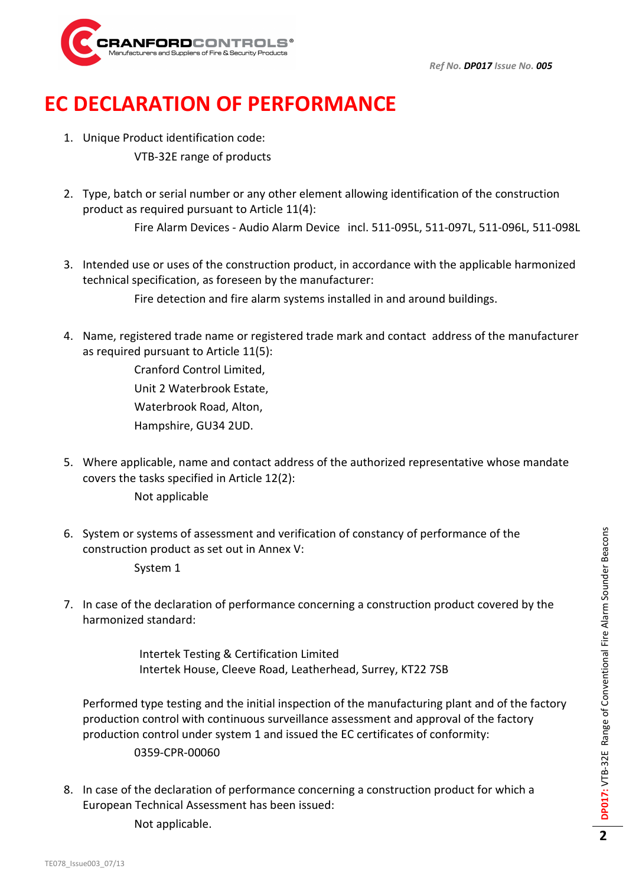

## EC DECLARATION OF PERFORMANCE

- 1. Unique Product identification code: VTB-32E range of products
- 2. Type, batch or serial number or any other element allowing identification of the construction product as required pursuant to Article 11(4): Fire Alarm Devices - Audio Alarm Device incl. 511-095L, 511-097L, 511-096L, 511-098L
- 3. Intended use or uses of the construction product, in accordance with the applicable harmonized technical specification, as foreseen by the manufacturer: Fire detection and fire alarm systems installed in and around buildings.
- 4. Name, registered trade name or registered trade mark and contact address of the manufacturer as required pursuant to Article 11(5):

 Cranford Control Limited, Unit 2 Waterbrook Estate, Waterbrook Road, Alton, Hampshire, GU34 2UD.

- 5. Where applicable, name and contact address of the authorized representative whose mandate covers the tasks specified in Article 12(2):
	- Not applicable
- 6. System or systems of assessment and verification of constancy of performance of the construction product as set out in Annex V: System 1
- 7. In case of the declaration of performance concerning a construction product covered by the harmonized standard:

Intertek Testing & Certification Limited Intertek House, Cleeve Road, Leatherhead, Surrey, KT22 7SB

Performed type testing and the initial inspection of the manufacturing plant and of the factory production control with continuous surveillance assessment and approval of the factory production control under system 1 and issued the EC certificates of conformity: 0359-CPR-00060

8. In case of the declaration of performance concerning a construction product for which a European Technical Assessment has been issued:

Not applicable.